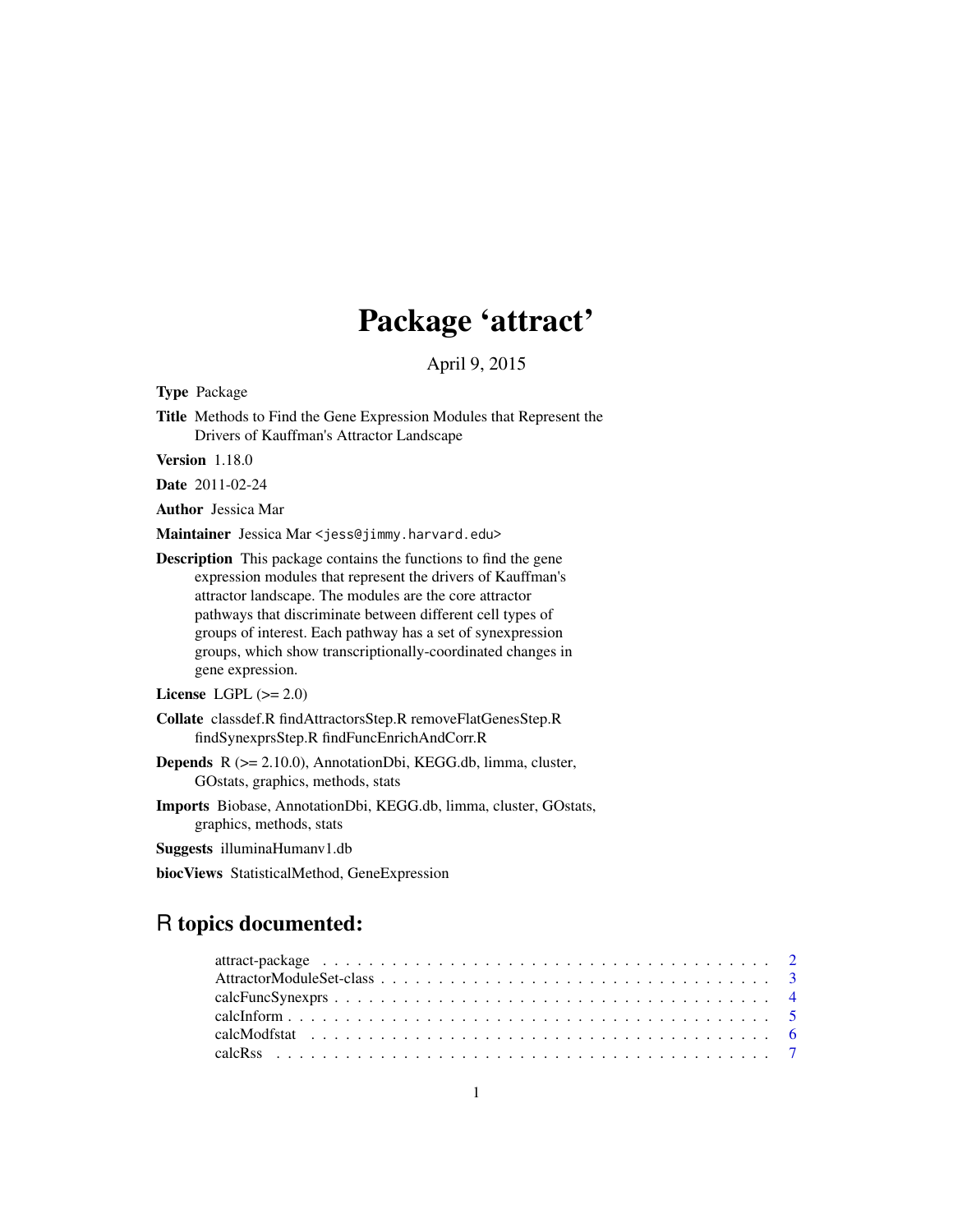# Package 'attract'

April 9, 2015

Type Package

Title Methods to Find the Gene Expression Modules that Represent the Drivers of Kauffman's Attractor Landscape

Version 1.18.0

Date 2011-02-24

Author Jessica Mar

Maintainer Jessica Mar <jess@jimmy.harvard.edu>

Description This package contains the functions to find the gene expression modules that represent the drivers of Kauffman's attractor landscape. The modules are the core attractor pathways that discriminate between different cell types of groups of interest. Each pathway has a set of synexpression groups, which show transcriptionally-coordinated changes in gene expression.

License LGPL  $(>= 2.0)$ 

Collate classdef.R findAttractorsStep.R removeFlatGenesStep.R findSynexprsStep.R findFuncEnrichAndCorr.R

- Depends R (>= 2.10.0), AnnotationDbi, KEGG.db, limma, cluster, GOstats, graphics, methods, stats
- Imports Biobase, AnnotationDbi, KEGG.db, limma, cluster, GOstats, graphics, methods, stats
- Suggests illuminaHumanv1.db

biocViews StatisticalMethod, GeneExpression

# R topics documented: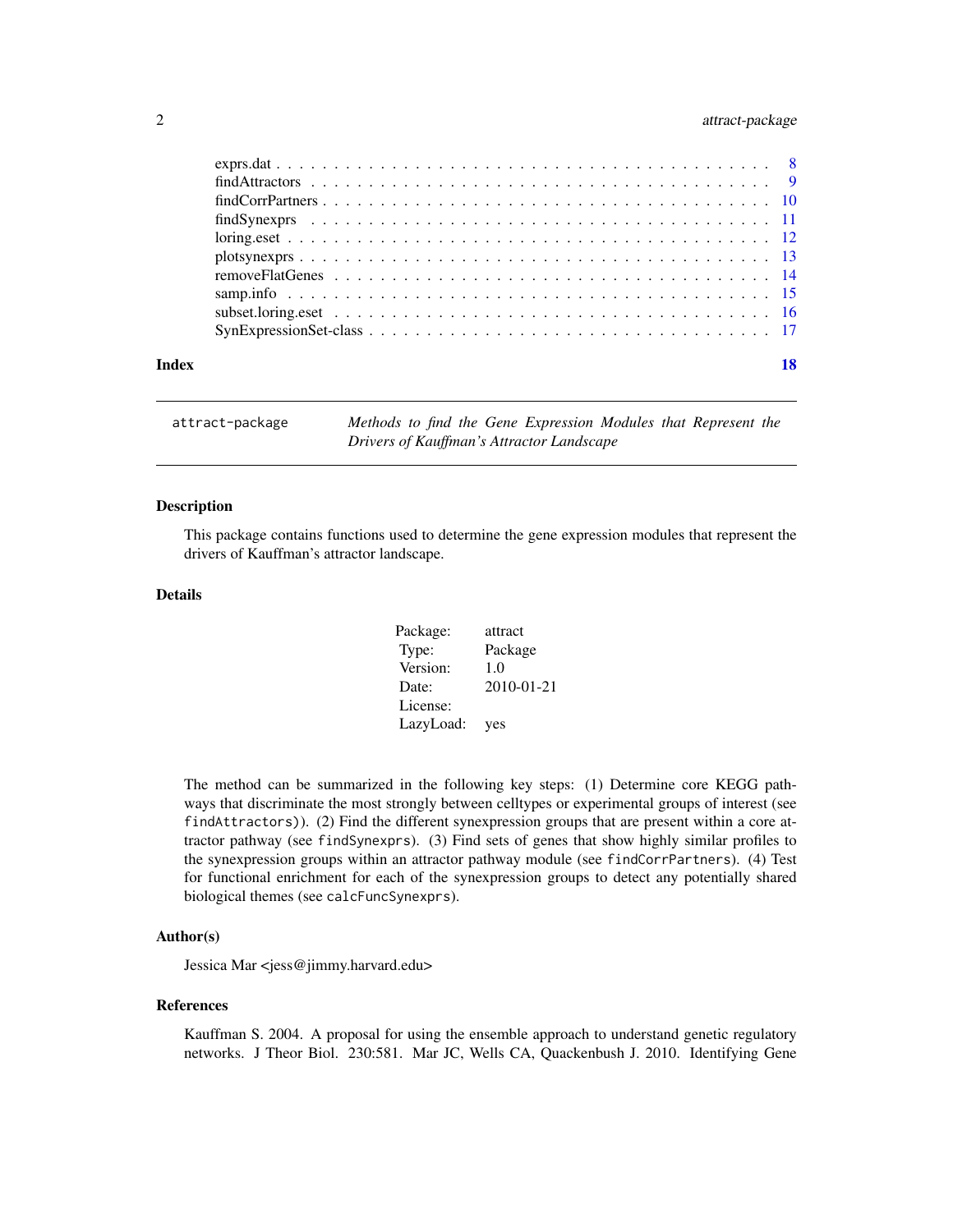# <span id="page-1-0"></span>2 attract-package

| Index |                                                                                                            |  |
|-------|------------------------------------------------------------------------------------------------------------|--|
|       |                                                                                                            |  |
|       |                                                                                                            |  |
|       |                                                                                                            |  |
|       |                                                                                                            |  |
|       |                                                                                                            |  |
|       |                                                                                                            |  |
|       |                                                                                                            |  |
|       | $findCorrPartners \ldots \ldots \ldots \ldots \ldots \ldots \ldots \ldots \ldots \ldots \ldots \ldots 10$  |  |
|       | $findAttactors \ldots \ldots \ldots \ldots \ldots \ldots \ldots \ldots \ldots \ldots \ldots \ldots \ldots$ |  |
|       |                                                                                                            |  |

attract-package *Methods to find the Gene Expression Modules that Represent the Drivers of Kauffman's Attractor Landscape*

# Description

This package contains functions used to determine the gene expression modules that represent the drivers of Kauffman's attractor landscape.

## Details

| Package:  | attract    |
|-----------|------------|
| Type:     | Package    |
| Version:  | 1.0        |
| Date:     | 2010-01-21 |
| License:  |            |
| LazyLoad: | yes        |

The method can be summarized in the following key steps: (1) Determine core KEGG pathways that discriminate the most strongly between celltypes or experimental groups of interest (see findAttractors)). (2) Find the different synexpression groups that are present within a core attractor pathway (see findSynexprs). (3) Find sets of genes that show highly similar profiles to the synexpression groups within an attractor pathway module (see findCorrPartners). (4) Test for functional enrichment for each of the synexpression groups to detect any potentially shared biological themes (see calcFuncSynexprs).

# Author(s)

Jessica Mar <jess@jimmy.harvard.edu>

#### References

Kauffman S. 2004. A proposal for using the ensemble approach to understand genetic regulatory networks. J Theor Biol. 230:581. Mar JC, Wells CA, Quackenbush J. 2010. Identifying Gene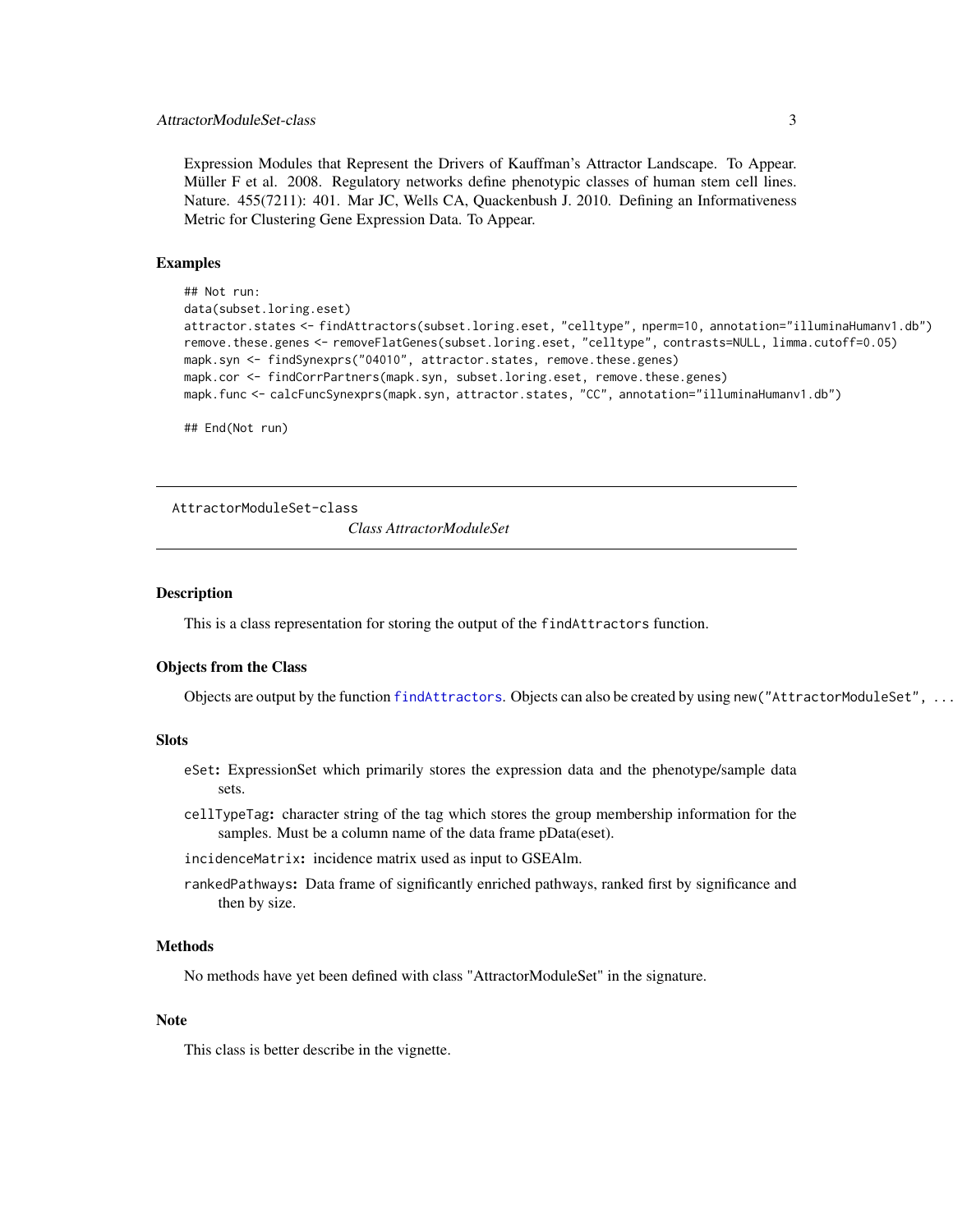# <span id="page-2-0"></span>AttractorModuleSet-class 3

Expression Modules that Represent the Drivers of Kauffman's Attractor Landscape. To Appear. Müller F et al. 2008. Regulatory networks define phenotypic classes of human stem cell lines. Nature. 455(7211): 401. Mar JC, Wells CA, Quackenbush J. 2010. Defining an Informativeness Metric for Clustering Gene Expression Data. To Appear.

# Examples

```
## Not run:
data(subset.loring.eset)
attractor.states <- findAttractors(subset.loring.eset, "celltype", nperm=10, annotation="illuminaHumanv1.db")
remove.these.genes <- removeFlatGenes(subset.loring.eset, "celltype", contrasts=NULL, limma.cutoff=0.05)
mapk.syn <- findSynexprs("04010", attractor.states, remove.these.genes)
mapk.cor <- findCorrPartners(mapk.syn, subset.loring.eset, remove.these.genes)
mapk.func <- calcFuncSynexprs(mapk.syn, attractor.states, "CC", annotation="illuminaHumanv1.db")
```
## End(Not run)

AttractorModuleSet-class

*Class AttractorModuleSet*

#### Description

This is a class representation for storing the output of the findAttractors function.

# Objects from the Class

Objects are output by the function [findAttractors](#page-8-1). Objects can also be created by using new("AttractorModuleSet", ...).

#### **Slots**

- eSet: ExpressionSet which primarily stores the expression data and the phenotype/sample data sets.
- cellTypeTag: character string of the tag which stores the group membership information for the samples. Must be a column name of the data frame pData(eset).

incidenceMatrix: incidence matrix used as input to GSEAlm.

rankedPathways: Data frame of significantly enriched pathways, ranked first by significance and then by size.

#### Methods

No methods have yet been defined with class "AttractorModuleSet" in the signature.

# **Note**

This class is better describe in the vignette.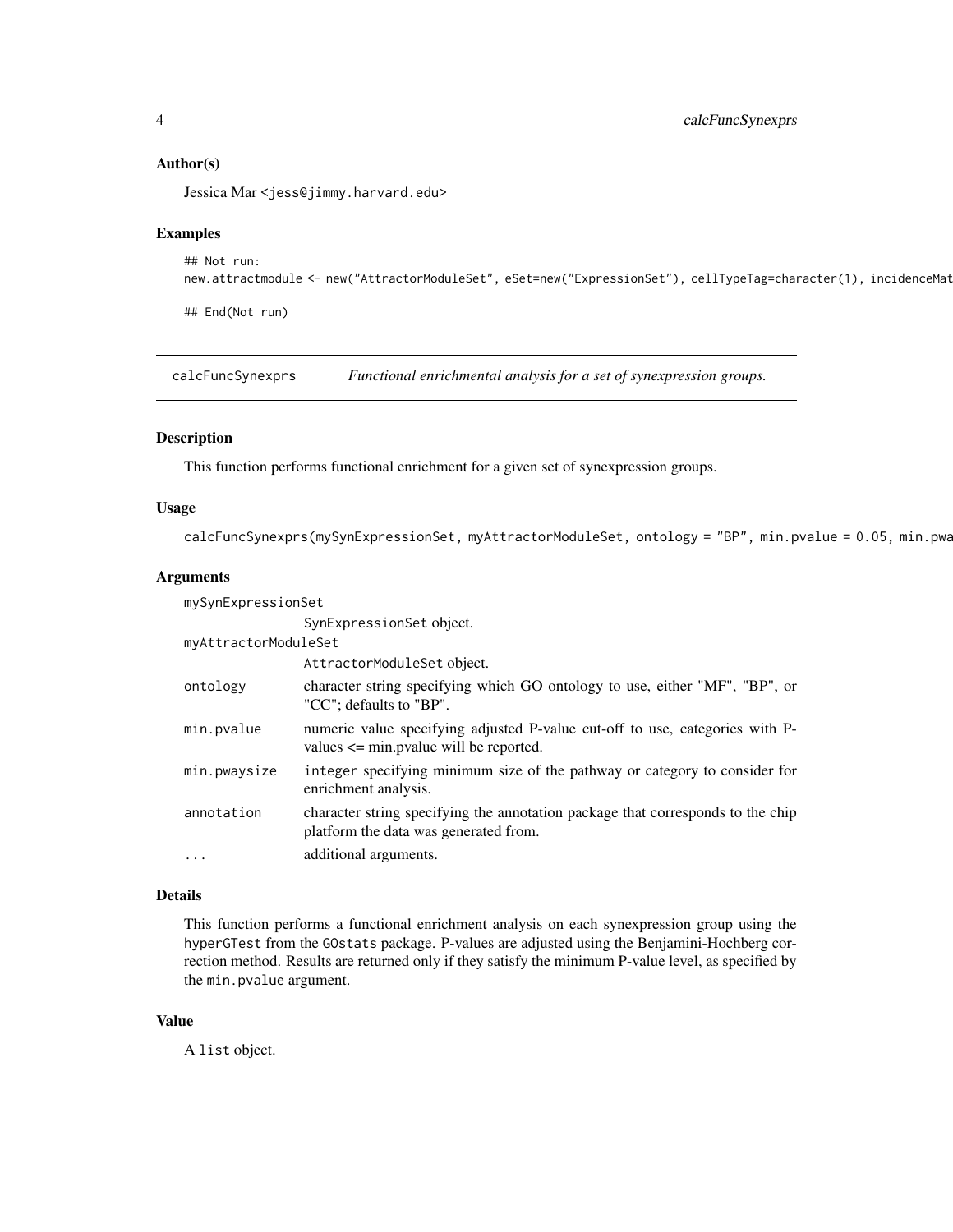# Author(s)

Jessica Mar <jess@jimmy.harvard.edu>

#### Examples

```
## Not run:
new.attractmodule <- new("AttractorModuleSet", eSet=new("ExpressionSet"), cellTypeTag=character(1), incidenceMat
```
## End(Not run)

calcFuncSynexprs *Functional enrichmental analysis for a set of synexpression groups.*

# Description

This function performs functional enrichment for a given set of synexpression groups.

# Usage

calcFuncSynexprs(mySynExpressionSet, myAttractorModuleSet, ontology = "BP", min.pvalue = 0.05, min.pwa

# Arguments

| mySynExpressionSet   |                                                                                                                            |  |
|----------------------|----------------------------------------------------------------------------------------------------------------------------|--|
|                      | SynExpressionSet object.                                                                                                   |  |
| myAttractorModuleSet |                                                                                                                            |  |
|                      | AttractorModuleSet object.                                                                                                 |  |
| ontology             | character string specifying which GO ontology to use, either "MF", "BP", or<br>"CC"; defaults to "BP".                     |  |
| min.pvalue           | numeric value specifying adjusted P-value cut-off to use, categories with P-<br>values $\le$ min. pvalue will be reported. |  |
| min.pwaysize         | integer specifying minimum size of the pathway or category to consider for<br>enrichment analysis.                         |  |
| annotation           | character string specifying the annotation package that corresponds to the chip<br>platform the data was generated from.   |  |
| $\ddotsc$            | additional arguments.                                                                                                      |  |

#### Details

This function performs a functional enrichment analysis on each synexpression group using the hyperGTest from the GOstats package. P-values are adjusted using the Benjamini-Hochberg correction method. Results are returned only if they satisfy the minimum P-value level, as specified by the min.pvalue argument.

# Value

A list object.

<span id="page-3-0"></span>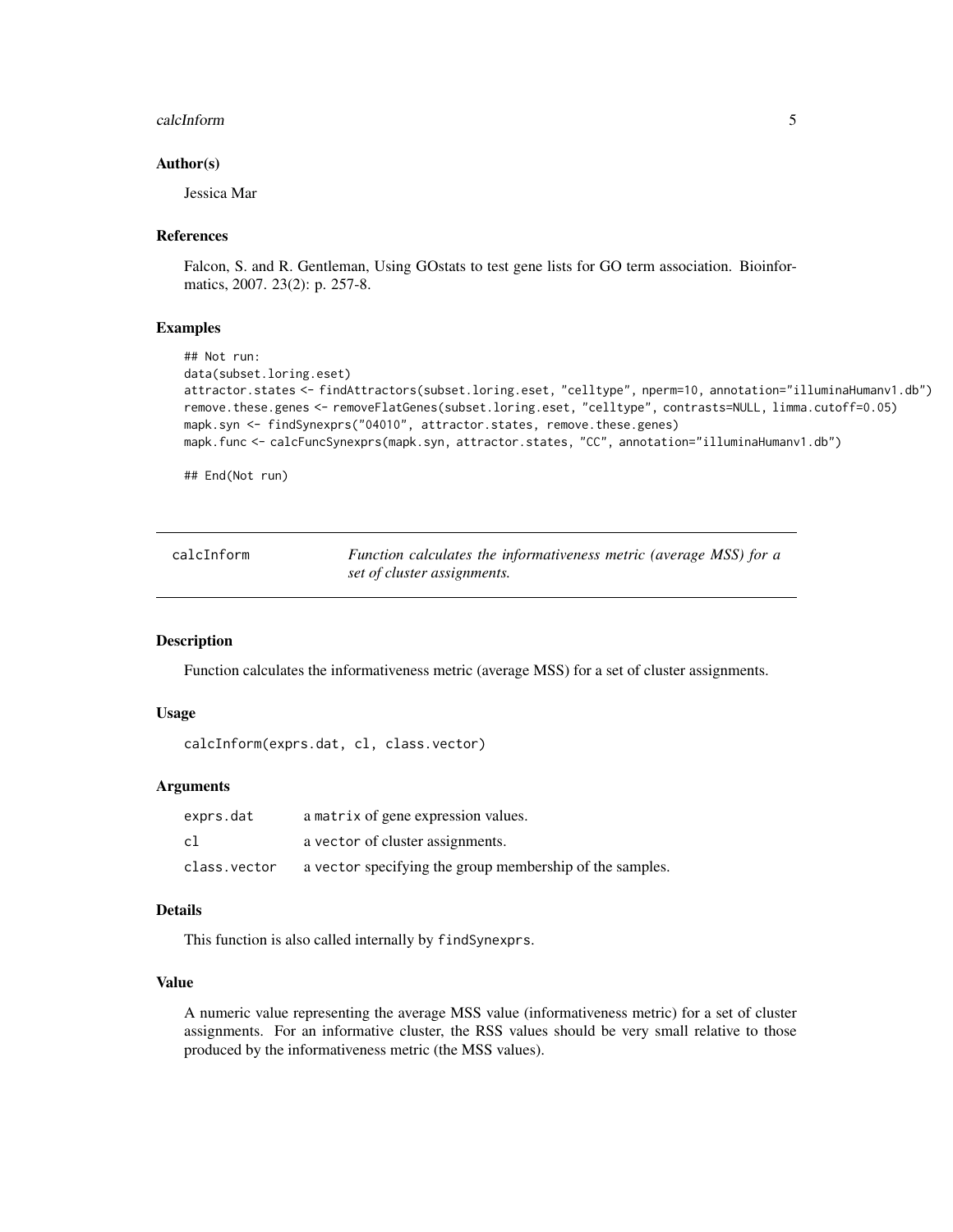#### <span id="page-4-0"></span>calcInform 5

# Author(s)

Jessica Mar

# References

Falcon, S. and R. Gentleman, Using GOstats to test gene lists for GO term association. Bioinformatics, 2007. 23(2): p. 257-8.

# Examples

```
## Not run:
data(subset.loring.eset)
attractor.states <- findAttractors(subset.loring.eset, "celltype", nperm=10, annotation="illuminaHumanv1.db")
remove.these.genes <- removeFlatGenes(subset.loring.eset, "celltype", contrasts=NULL, limma.cutoff=0.05)
mapk.syn <- findSynexprs("04010", attractor.states, remove.these.genes)
mapk.func <- calcFuncSynexprs(mapk.syn, attractor.states, "CC", annotation="illuminaHumanv1.db")
```
## End(Not run)

| calcInform | Function calculates the informativeness metric (average MSS) for a |
|------------|--------------------------------------------------------------------|
|            | set of cluster assignments.                                        |

# Description

Function calculates the informativeness metric (average MSS) for a set of cluster assignments.

#### Usage

```
calcInform(exprs.dat, cl, class.vector)
```
# Arguments

| exprs.dat    | a matrix of gene expression values.                      |
|--------------|----------------------------------------------------------|
| c1           | a vector of cluster assignments.                         |
| class.vector | a vector specifying the group membership of the samples. |

# Details

This function is also called internally by findSynexprs.

# Value

A numeric value representing the average MSS value (informativeness metric) for a set of cluster assignments. For an informative cluster, the RSS values should be very small relative to those produced by the informativeness metric (the MSS values).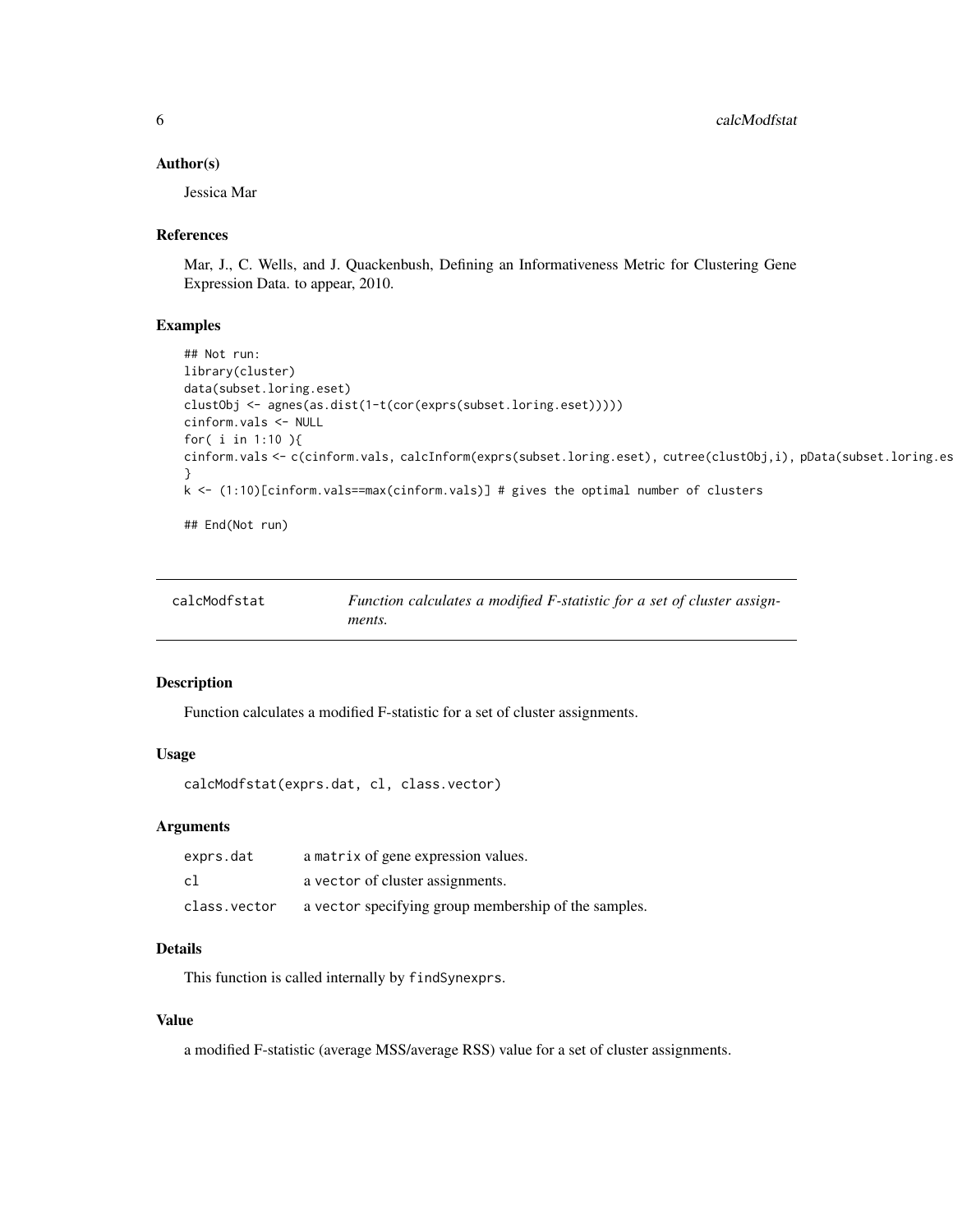# <span id="page-5-0"></span>Author(s)

Jessica Mar

# References

Mar, J., C. Wells, and J. Quackenbush, Defining an Informativeness Metric for Clustering Gene Expression Data. to appear, 2010.

# Examples

```
## Not run:
library(cluster)
data(subset.loring.eset)
clustObj <- agnes(as.dist(1-t(cor(exprs(subset.loring.eset)))))
cinform.vals <- NULL
for( i in 1:10 ){
cinform.vals <- c(cinform.vals, calcInform(exprs(subset.loring.eset), cutree(clustObj,i), pData(subset.loring.es
}
k <- (1:10)[cinform.vals==max(cinform.vals)] # gives the optimal number of clusters
```
## End(Not run)

| calcModfstat | Function calculates a modified F-statistic for a set of cluster assign- |
|--------------|-------------------------------------------------------------------------|
|              | ments.                                                                  |

# Description

Function calculates a modified F-statistic for a set of cluster assignments.

# Usage

```
calcModfstat(exprs.dat, cl, class.vector)
```
# Arguments

| exprs.dat    | a matrix of gene expression values.                  |
|--------------|------------------------------------------------------|
| cl           | a vector of cluster assignments.                     |
| class.vector | a vector specifying group membership of the samples. |

# Details

This function is called internally by findSynexprs.

# Value

a modified F-statistic (average MSS/average RSS) value for a set of cluster assignments.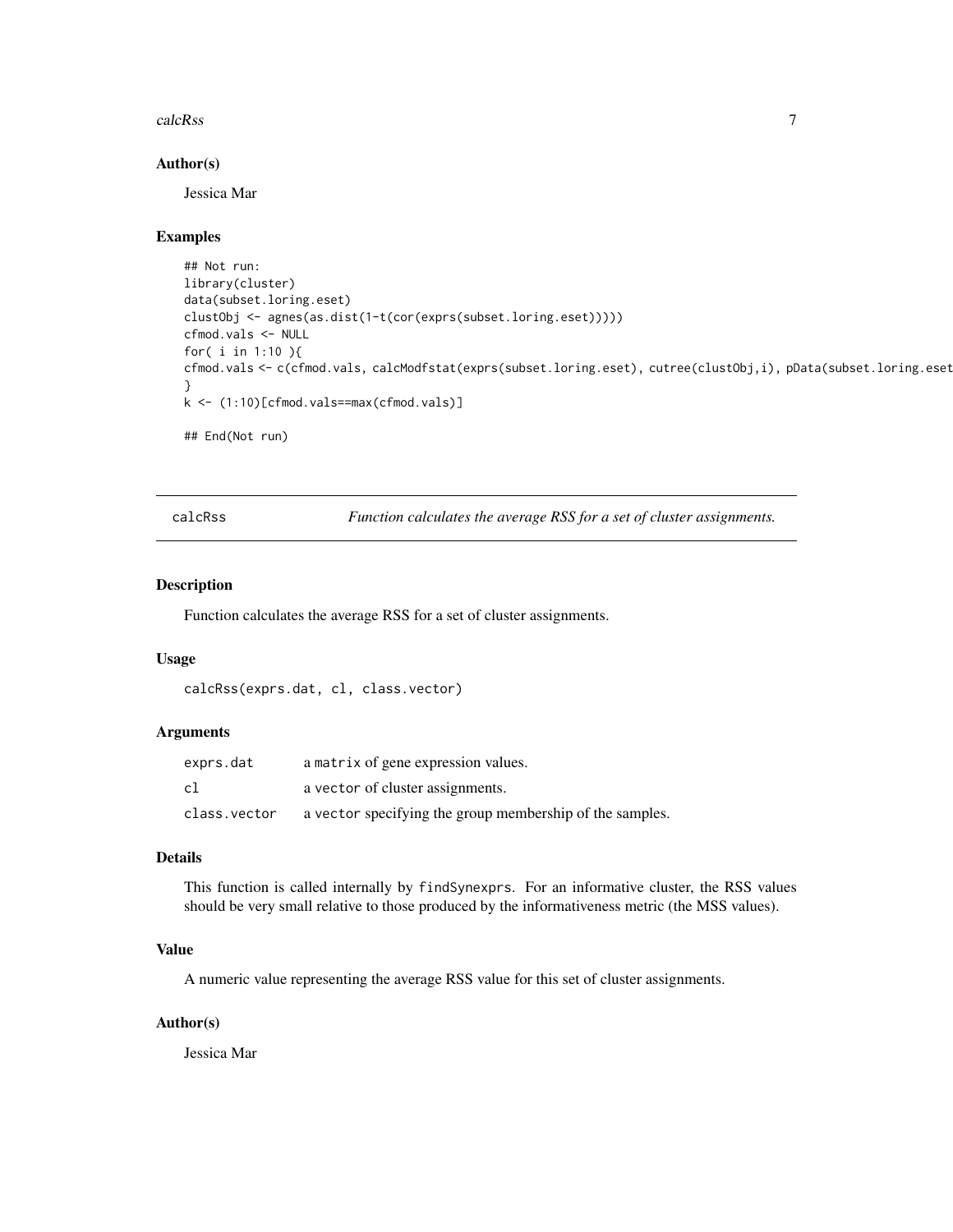#### <span id="page-6-0"></span>calcRss 7

# Author(s)

Jessica Mar

#### Examples

```
## Not run:
library(cluster)
data(subset.loring.eset)
clustObj <- agnes(as.dist(1-t(cor(exprs(subset.loring.eset)))))
cfmod.vals <- NULL
for( i in 1:10 ){
cfmod.vals <- c(cfmod.vals, calcModfstat(exprs(subset.loring.eset), cutree(clustObj,i), pData(subset.loring.eset
}
k <- (1:10)[cfmod.vals==max(cfmod.vals)]
## End(Not run)
```
calcRss *Function calculates the average RSS for a set of cluster assignments.*

## Description

Function calculates the average RSS for a set of cluster assignments.

# Usage

```
calcRss(exprs.dat, cl, class.vector)
```
# Arguments

| exprs.dat    | a matrix of gene expression values.                      |
|--------------|----------------------------------------------------------|
| c1           | a vector of cluster assignments.                         |
| class.vector | a vector specifying the group membership of the samples. |

# Details

This function is called internally by findSynexprs. For an informative cluster, the RSS values should be very small relative to those produced by the informativeness metric (the MSS values).

# Value

A numeric value representing the average RSS value for this set of cluster assignments.

# Author(s)

Jessica Mar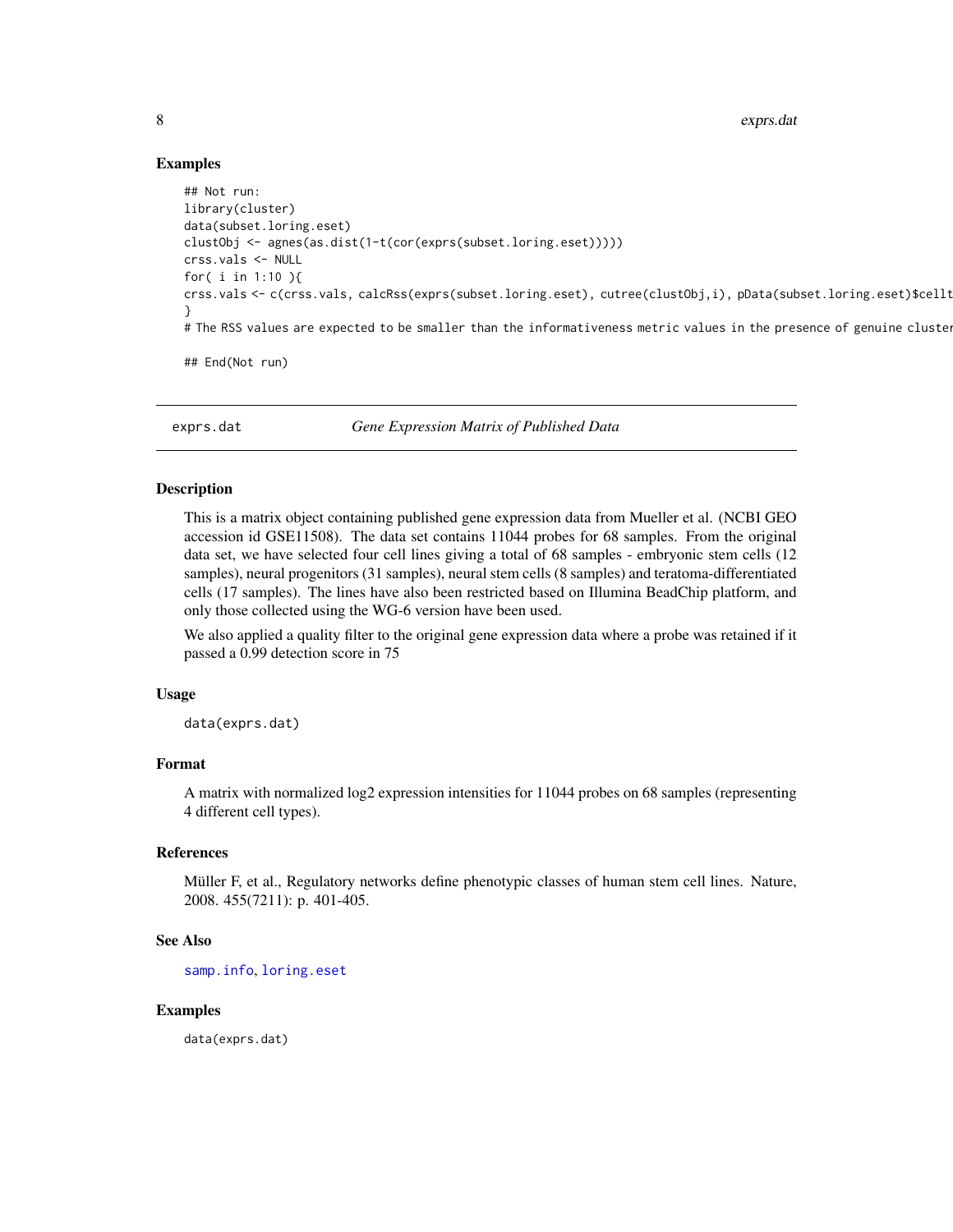8 exprs.dat and the second state of the second state of the second state of the second state of the second state of the second state of the second state of the second state of the second state of the second state of the se

# Examples

```
## Not run:
library(cluster)
data(subset.loring.eset)
clustObj <- agnes(as.dist(1-t(cor(exprs(subset.loring.eset)))))
crss.vals <- NULL
for( i in 1:10 ){
crss.vals <- c(crss.vals, calcRss(exprs(subset.loring.eset), cutree(clustObj,i), pData(subset.loring.eset)$cellt
}
# The RSS values are expected to be smaller than the informativeness metric values in the presence of genuine cluster
## End(Not run)
```
<span id="page-7-1"></span>

exprs.dat *Gene Expression Matrix of Published Data*

# Description

This is a matrix object containing published gene expression data from Mueller et al. (NCBI GEO accession id GSE11508). The data set contains 11044 probes for 68 samples. From the original data set, we have selected four cell lines giving a total of 68 samples - embryonic stem cells (12 samples), neural progenitors (31 samples), neural stem cells (8 samples) and teratoma-differentiated cells (17 samples). The lines have also been restricted based on Illumina BeadChip platform, and only those collected using the WG-6 version have been used.

We also applied a quality filter to the original gene expression data where a probe was retained if it passed a 0.99 detection score in 75

# Usage

data(exprs.dat)

#### Format

A matrix with normalized log2 expression intensities for 11044 probes on 68 samples (representing 4 different cell types).

#### References

Müller F, et al., Regulatory networks define phenotypic classes of human stem cell lines. Nature, 2008. 455(7211): p. 401-405.

#### See Also

[samp.info](#page-14-1), [loring.eset](#page-11-1)

#### Examples

data(exprs.dat)

<span id="page-7-0"></span>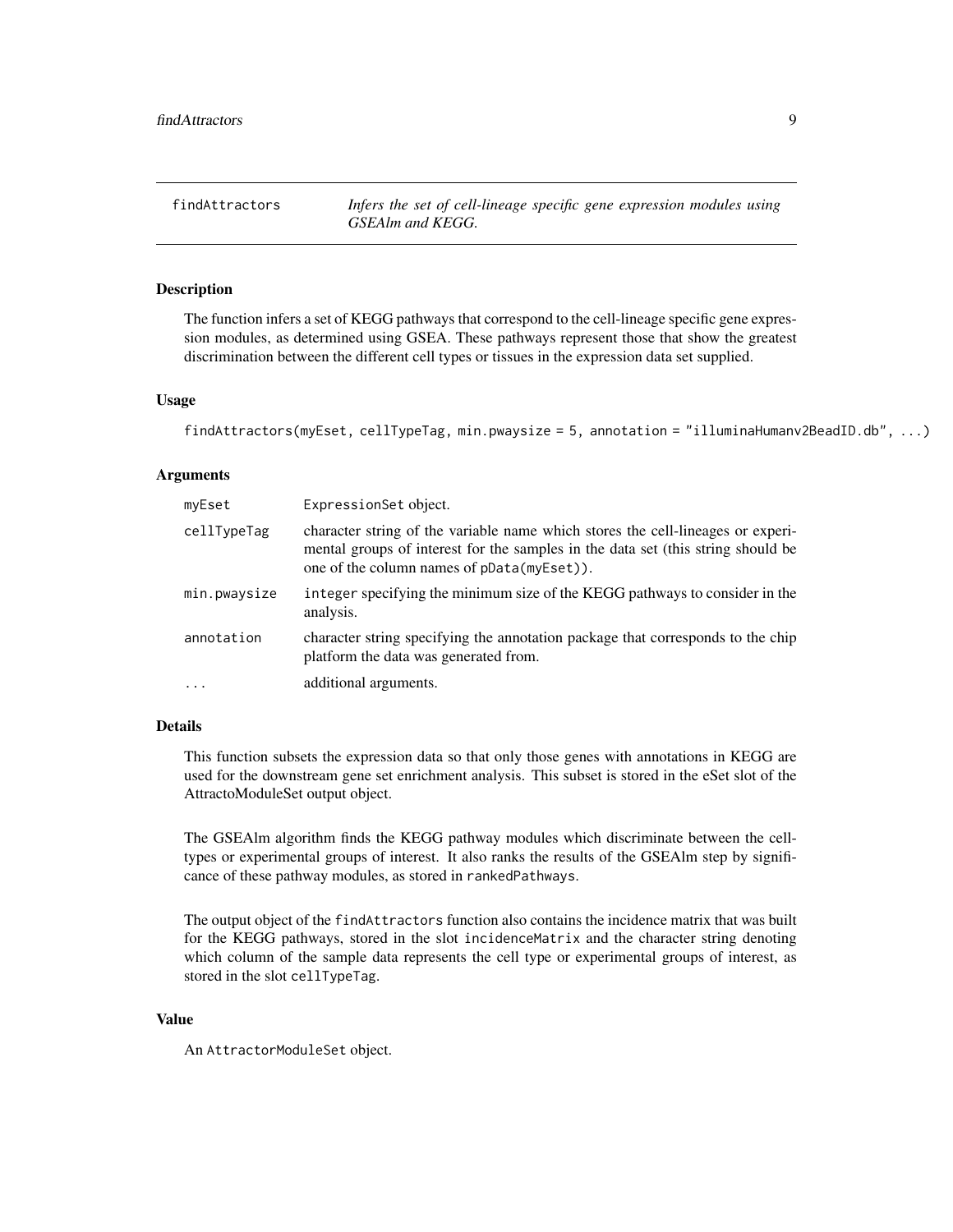<span id="page-8-1"></span><span id="page-8-0"></span>findAttractors *Infers the set of cell-lineage specific gene expression modules using GSEAlm and KEGG.*

# Description

The function infers a set of KEGG pathways that correspond to the cell-lineage specific gene expression modules, as determined using GSEA. These pathways represent those that show the greatest discrimination between the different cell types or tissues in the expression data set supplied.

#### Usage

```
findAttractors(myEset, cellTypeTag, min.pwaysize = 5, annotation = "illuminaHumanv2BeadID.db", ...)
```
# Arguments

| myEset       | ExpressionSet object.                                                                                                                                                                                             |
|--------------|-------------------------------------------------------------------------------------------------------------------------------------------------------------------------------------------------------------------|
| cellTypeTag  | character string of the variable name which stores the cell-lineages or experi-<br>mental groups of interest for the samples in the data set (this string should be<br>one of the column names of pData(myEset)). |
| min.pwaysize | integer specifying the minimum size of the KEGG pathways to consider in the<br>analysis.                                                                                                                          |
| annotation   | character string specifying the annotation package that corresponds to the chip<br>platform the data was generated from.                                                                                          |
| $\cdots$     | additional arguments.                                                                                                                                                                                             |

# Details

This function subsets the expression data so that only those genes with annotations in KEGG are used for the downstream gene set enrichment analysis. This subset is stored in the eSet slot of the AttractoModuleSet output object.

The GSEAlm algorithm finds the KEGG pathway modules which discriminate between the celltypes or experimental groups of interest. It also ranks the results of the GSEAlm step by significance of these pathway modules, as stored in rankedPathways.

The output object of the findAttractors function also contains the incidence matrix that was built for the KEGG pathways, stored in the slot incidenceMatrix and the character string denoting which column of the sample data represents the cell type or experimental groups of interest, as stored in the slot cellTypeTag.

# Value

An AttractorModuleSet object.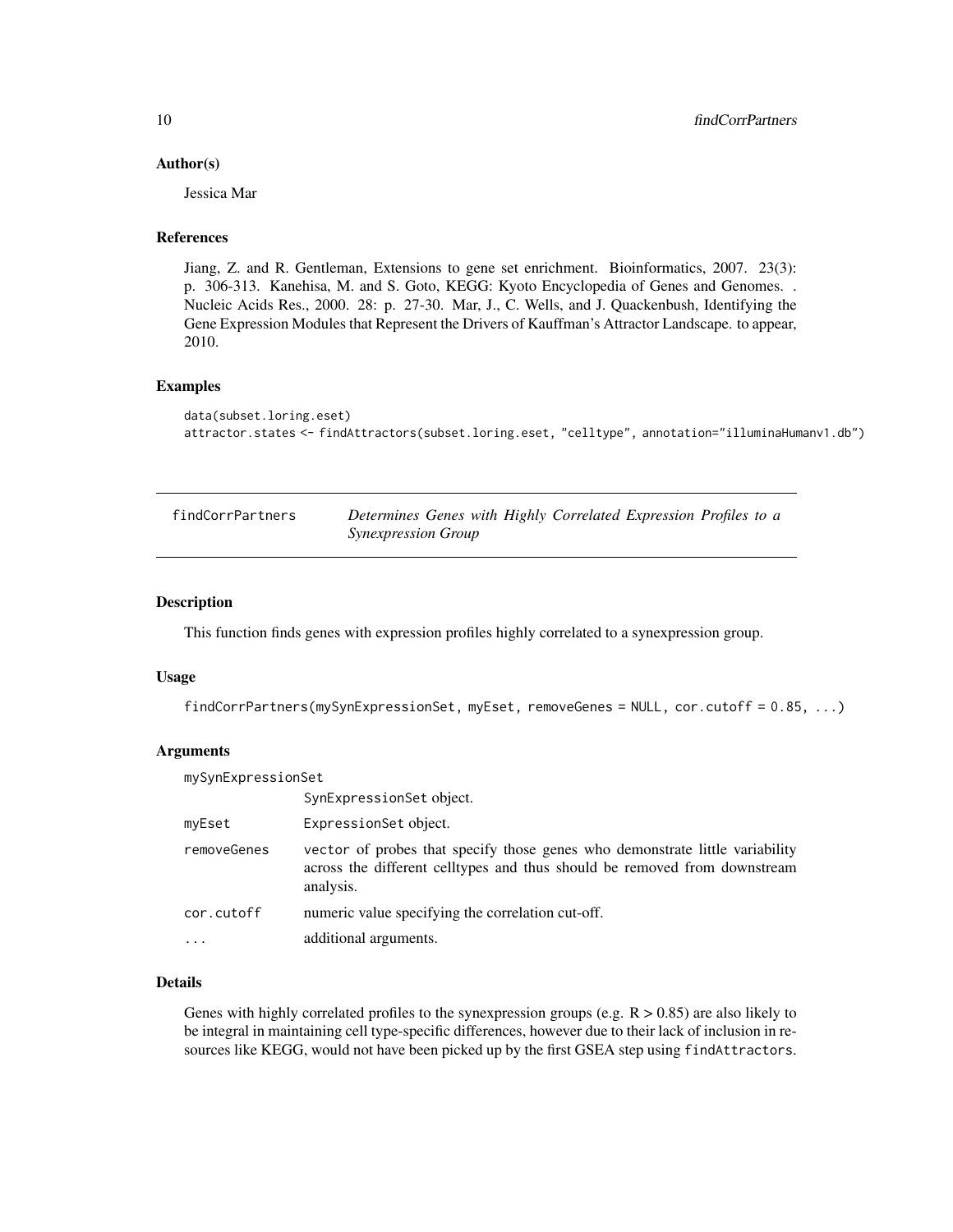# <span id="page-9-0"></span>Author(s)

Jessica Mar

# References

Jiang, Z. and R. Gentleman, Extensions to gene set enrichment. Bioinformatics, 2007. 23(3): p. 306-313. Kanehisa, M. and S. Goto, KEGG: Kyoto Encyclopedia of Genes and Genomes. . Nucleic Acids Res., 2000. 28: p. 27-30. Mar, J., C. Wells, and J. Quackenbush, Identifying the Gene Expression Modules that Represent the Drivers of Kauffman's Attractor Landscape. to appear, 2010.

# Examples

```
data(subset.loring.eset)
attractor.states <- findAttractors(subset.loring.eset, "celltype", annotation="illuminaHumanv1.db")
```

| findCorrPartners | Determines Genes with Highly Correlated Expression Profiles to a |
|------------------|------------------------------------------------------------------|
|                  | <i>Synexpression Group</i>                                       |

#### Description

This function finds genes with expression profiles highly correlated to a synexpression group.

# Usage

findCorrPartners(mySynExpressionSet, myEset, removeGenes = NULL, cor.cutoff = 0.85, ...)

# Arguments

| mySynExpressionSet |                                                                                                                                                                        |  |
|--------------------|------------------------------------------------------------------------------------------------------------------------------------------------------------------------|--|
|                    | SynExpressionSet object.                                                                                                                                               |  |
| myEset             | ExpressionSet object.                                                                                                                                                  |  |
| removeGenes        | vector of probes that specify those genes who demonstrate little variability<br>across the different celltypes and thus should be removed from downstream<br>analysis. |  |
| cor.cutoff         | numeric value specifying the correlation cut-off.                                                                                                                      |  |
|                    | additional arguments.                                                                                                                                                  |  |

# Details

Genes with highly correlated profiles to the synexpression groups (e.g.  $R > 0.85$ ) are also likely to be integral in maintaining cell type-specific differences, however due to their lack of inclusion in resources like KEGG, would not have been picked up by the first GSEA step using findAttractors.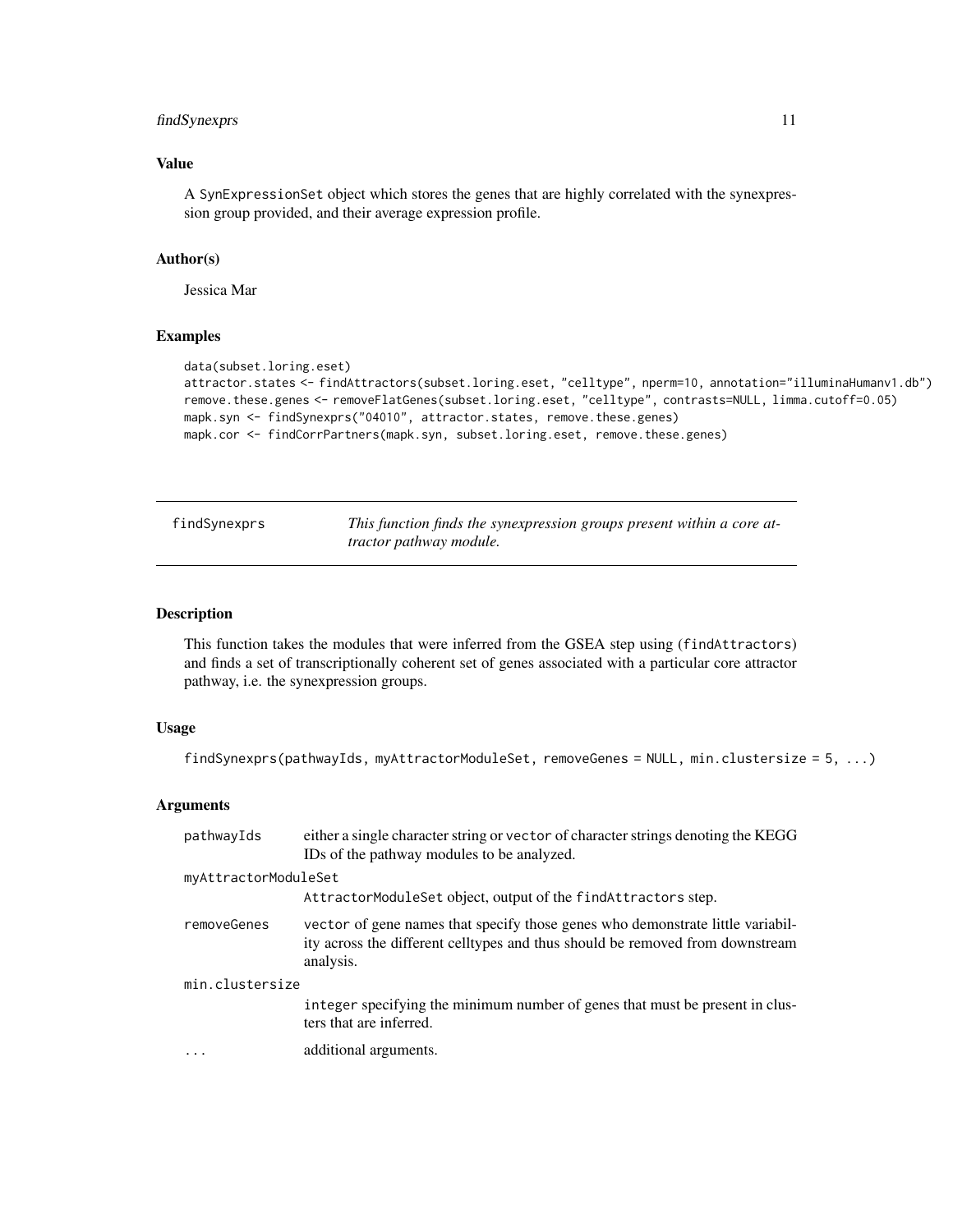# <span id="page-10-0"></span>findSynexprs 11

# Value

A SynExpressionSet object which stores the genes that are highly correlated with the synexpression group provided, and their average expression profile.

#### Author(s)

Jessica Mar

#### Examples

```
data(subset.loring.eset)
attractor.states <- findAttractors(subset.loring.eset, "celltype", nperm=10, annotation="illuminaHumanv1.db")
remove.these.genes <- removeFlatGenes(subset.loring.eset, "celltype", contrasts=NULL, limma.cutoff=0.05)
mapk.syn <- findSynexprs("04010", attractor.states, remove.these.genes)
mapk.cor <- findCorrPartners(mapk.syn, subset.loring.eset, remove.these.genes)
```
findSynexprs *This function finds the synexpression groups present within a core attractor pathway module.*

#### Description

This function takes the modules that were inferred from the GSEA step using (findAttractors) and finds a set of transcriptionally coherent set of genes associated with a particular core attractor pathway, i.e. the synexpression groups.

# Usage

findSynexprs(pathwayIds, myAttractorModuleSet, removeGenes = NULL, min.clustersize = 5, ...)

#### Arguments

| pathwayIds           | either a single character string or vector of character strings denoting the KEGG<br>IDs of the pathway modules to be analyzed.                                              |  |  |
|----------------------|------------------------------------------------------------------------------------------------------------------------------------------------------------------------------|--|--|
| myAttractorModuleSet |                                                                                                                                                                              |  |  |
|                      | AttractorModuleSet object, output of the find Attractors step.                                                                                                               |  |  |
| removeGenes          | vector of gene names that specify those genes who demonstrate little variabil-<br>ity across the different celltypes and thus should be removed from downstream<br>analysis. |  |  |
| min.clustersize      |                                                                                                                                                                              |  |  |
|                      | integer specifying the minimum number of genes that must be present in clus-<br>ters that are inferred.                                                                      |  |  |
| $\cdots$             | additional arguments.                                                                                                                                                        |  |  |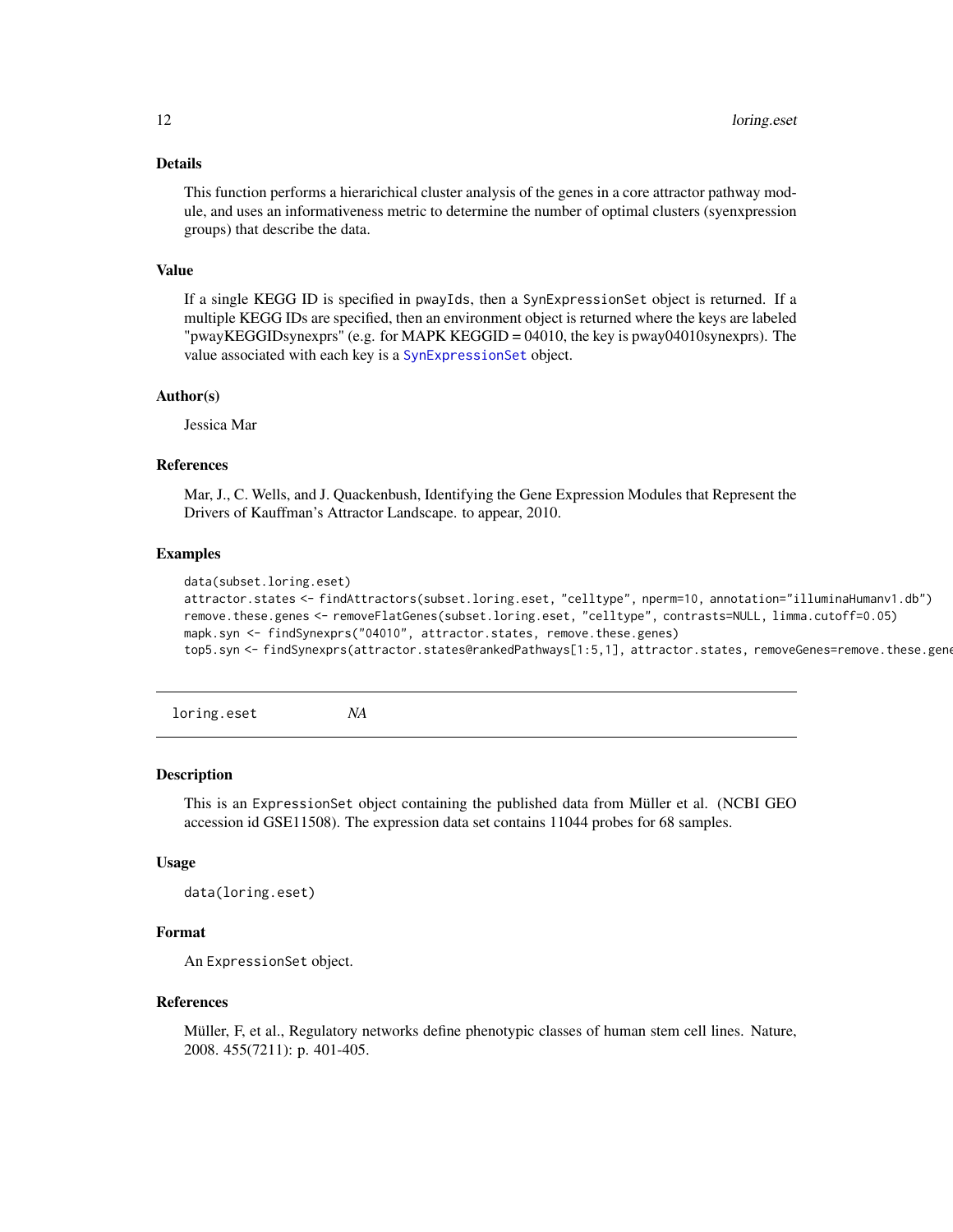#### <span id="page-11-0"></span>Details

This function performs a hierarichical cluster analysis of the genes in a core attractor pathway module, and uses an informativeness metric to determine the number of optimal clusters (syenxpression groups) that describe the data.

#### Value

If a single KEGG ID is specified in pwayIds, then a SynExpressionSet object is returned. If a multiple KEGG IDs are specified, then an environment object is returned where the keys are labeled "pwayKEGGIDsynexprs" (e.g. for MAPK KEGGID = 04010, the key is pway04010synexprs). The value associated with each key is a [SynExpressionSet](#page-16-1) object.

#### Author(s)

Jessica Mar

#### References

Mar, J., C. Wells, and J. Quackenbush, Identifying the Gene Expression Modules that Represent the Drivers of Kauffman's Attractor Landscape. to appear, 2010.

#### Examples

data(subset.loring.eset)

```
attractor.states <- findAttractors(subset.loring.eset, "celltype", nperm=10, annotation="illuminaHumanv1.db")
remove.these.genes <- removeFlatGenes(subset.loring.eset, "celltype", contrasts=NULL, limma.cutoff=0.05)
mapk.syn <- findSynexprs("04010", attractor.states, remove.these.genes)
top5.syn <- findSynexprs(attractor.states@rankedPathways[1:5,1], attractor.states, removeGenes=remove.these.genes)
```
<span id="page-11-1"></span>loring.eset *NA*

#### Description

This is an ExpressionSet object containing the published data from Müller et al. (NCBI GEO accession id GSE11508). The expression data set contains 11044 probes for 68 samples.

#### Usage

```
data(loring.eset)
```
# Format

An ExpressionSet object.

# References

Müller, F, et al., Regulatory networks define phenotypic classes of human stem cell lines. Nature, 2008. 455(7211): p. 401-405.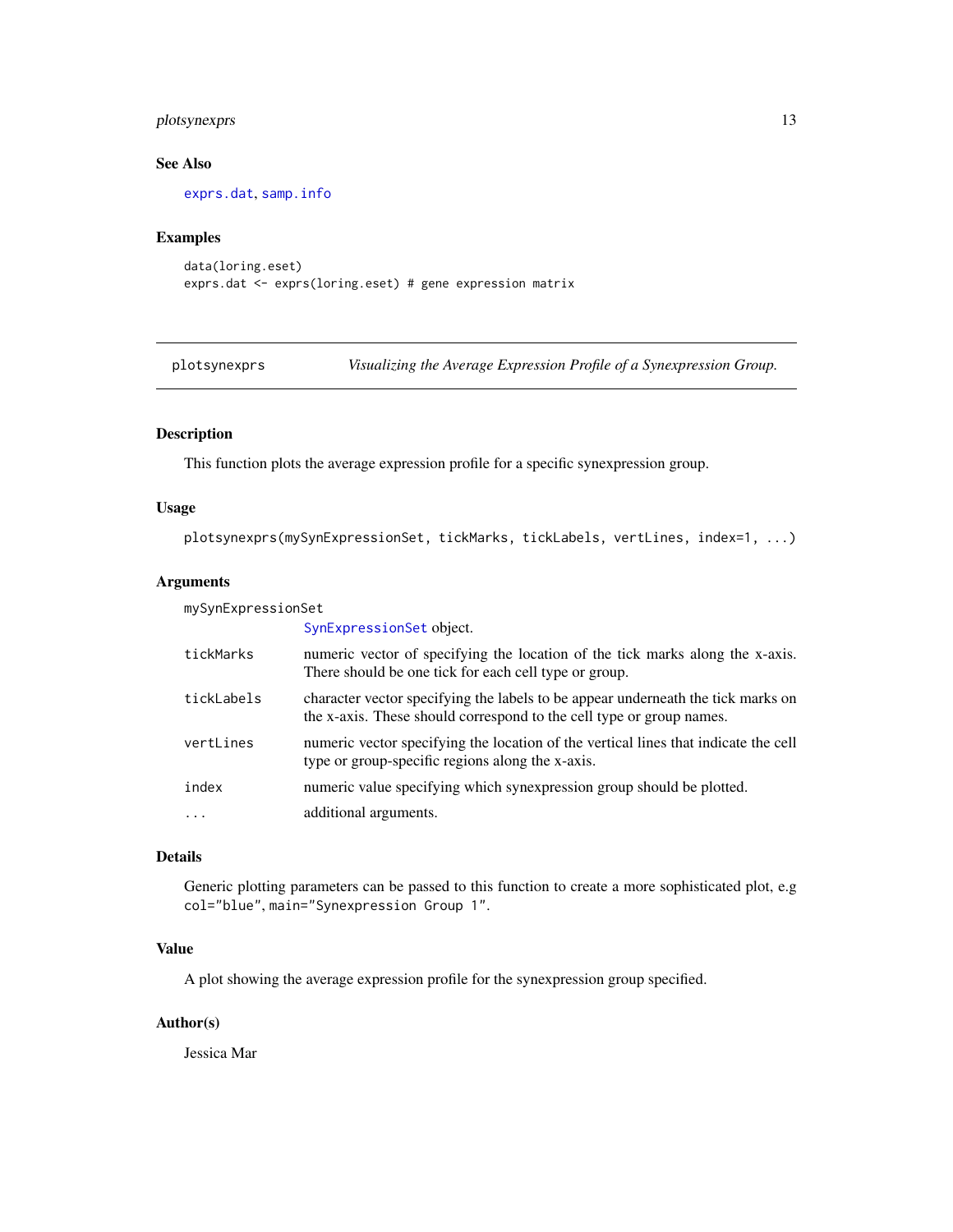# <span id="page-12-0"></span>plotsynexprs 13

# See Also

[exprs.dat](#page-7-1), [samp.info](#page-14-1)

# Examples

```
data(loring.eset)
exprs.dat <- exprs(loring.eset) # gene expression matrix
```
plotsynexprs *Visualizing the Average Expression Profile of a Synexpression Group.*

# Description

This function plots the average expression profile for a specific synexpression group.

# Usage

plotsynexprs(mySynExpressionSet, tickMarks, tickLabels, vertLines, index=1, ...)

# Arguments

mySynExpressionSet

|            | SynExpressionSet object.                                                                                                                                 |
|------------|----------------------------------------------------------------------------------------------------------------------------------------------------------|
| tickMarks  | numeric vector of specifying the location of the tick marks along the x-axis.<br>There should be one tick for each cell type or group.                   |
| tickLabels | character vector specifying the labels to be appear underneath the tick marks on<br>the x-axis. These should correspond to the cell type or group names. |
| vertLines  | numeric vector specifying the location of the vertical lines that indicate the cell<br>type or group-specific regions along the x-axis.                  |
| index      | numeric value specifying which synexpression group should be plotted.                                                                                    |
| .          | additional arguments.                                                                                                                                    |
|            |                                                                                                                                                          |

# Details

Generic plotting parameters can be passed to this function to create a more sophisticated plot, e.g col="blue", main="Synexpression Group 1".

# Value

A plot showing the average expression profile for the synexpression group specified.

# Author(s)

Jessica Mar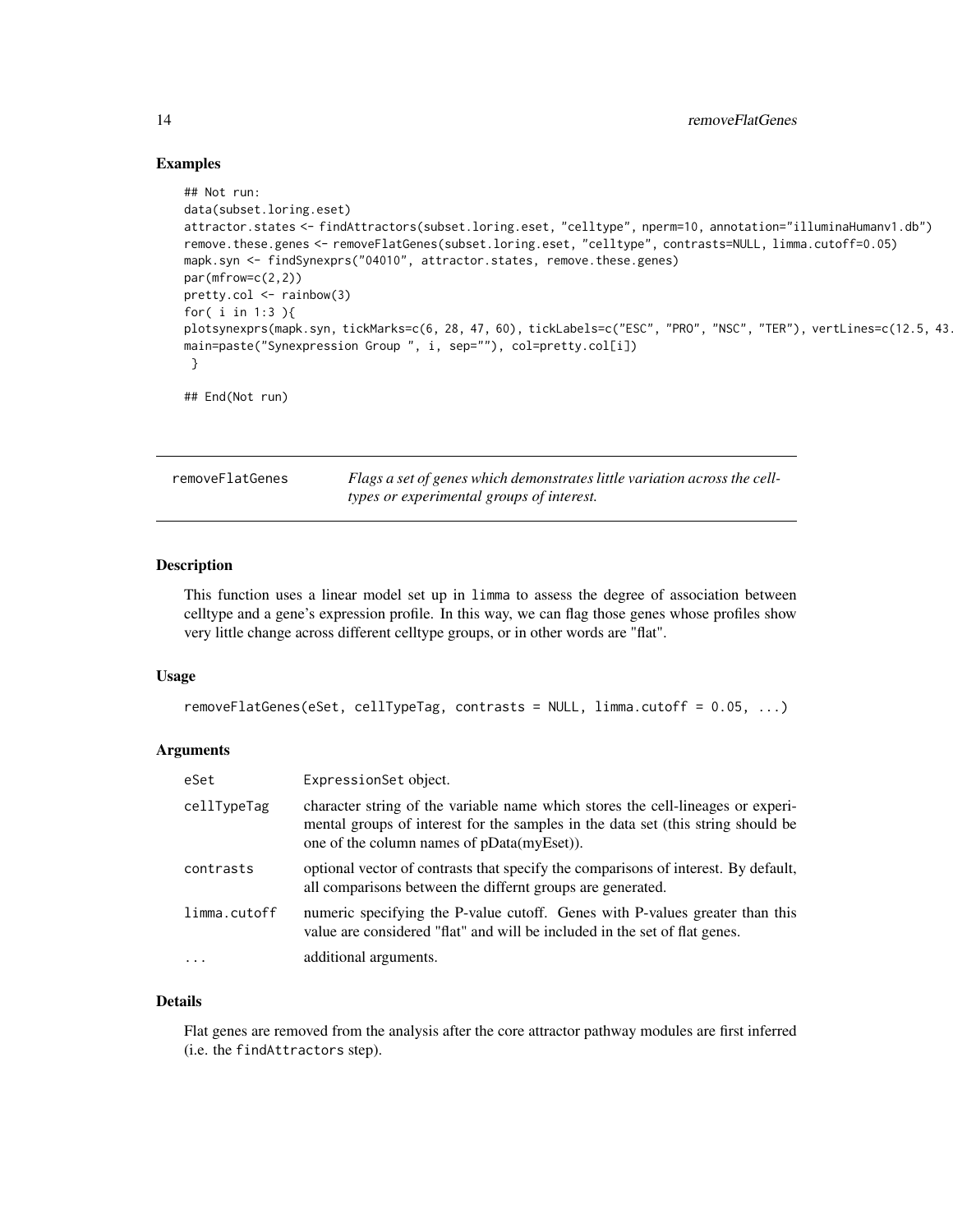# Examples

```
## Not run:
data(subset.loring.eset)
attractor.states <- findAttractors(subset.loring.eset, "celltype", nperm=10, annotation="illuminaHumanv1.db")
remove.these.genes <- removeFlatGenes(subset.loring.eset, "celltype", contrasts=NULL, limma.cutoff=0.05)
mapk.syn <- findSynexprs("04010", attractor.states, remove.these.genes)
par(mfrow=c(2,2))
pretty.col <- rainbow(3)
for( i in 1:3 ){
plotsynexprs(mapk.syn, tickMarks=c(6, 28, 47, 60), tickLabels=c("ESC", "PRO", "NSC", "TER"), vertLines=c(12.5, 43
main=paste("Synexpression Group ", i, sep=""), col=pretty.col[i])
}
## End(Not run)
```

| removeFlatGenes | Flags a set of genes which demonstrates little variation across the cell- |
|-----------------|---------------------------------------------------------------------------|
|                 | types or experimental groups of interest.                                 |

# Description

This function uses a linear model set up in limma to assess the degree of association between celltype and a gene's expression profile. In this way, we can flag those genes whose profiles show very little change across different celltype groups, or in other words are "flat".

# Usage

```
removeFlatGenes(eSet, cellTypeTag, contrasts = NULL, limma.cutoff = 0.05, ...)
```
#### Arguments

| eSet         | ExpressionSet object.                                                                                                                                                                                             |
|--------------|-------------------------------------------------------------------------------------------------------------------------------------------------------------------------------------------------------------------|
| cellTypeTag  | character string of the variable name which stores the cell-lineages or experi-<br>mental groups of interest for the samples in the data set (this string should be<br>one of the column names of pData(myEset)). |
| contrasts    | optional vector of contrasts that specify the comparisons of interest. By default,<br>all comparisons between the differnt groups are generated.                                                                  |
| limma.cutoff | numeric specifying the P-value cutoff. Genes with P-values greater than this<br>value are considered "flat" and will be included in the set of flat genes.                                                        |
| $\ddots$ .   | additional arguments.                                                                                                                                                                                             |

# Details

Flat genes are removed from the analysis after the core attractor pathway modules are first inferred (i.e. the findAttractors step).

<span id="page-13-0"></span>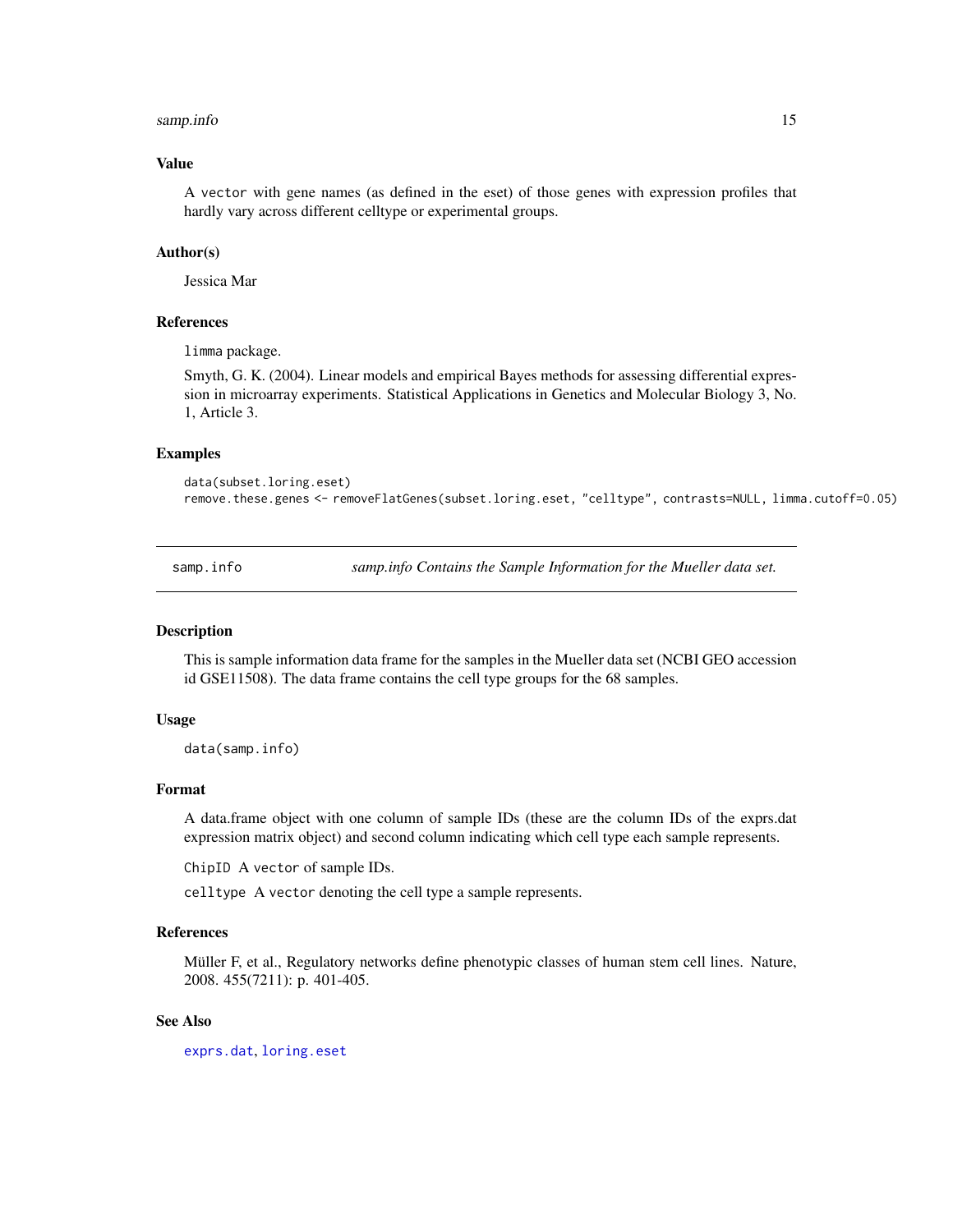#### <span id="page-14-0"></span>samp.info that the same of the same of the same of the same of the same of the same of the same of the same of the same of the same of the same of the same of the same of the same of the same of the same of the same of the

# Value

A vector with gene names (as defined in the eset) of those genes with expression profiles that hardly vary across different celltype or experimental groups.

# Author(s)

Jessica Mar

# **References**

limma package.

Smyth, G. K. (2004). Linear models and empirical Bayes methods for assessing differential expression in microarray experiments. Statistical Applications in Genetics and Molecular Biology 3, No. 1, Article 3.

# Examples

```
data(subset.loring.eset)
remove.these.genes <- removeFlatGenes(subset.loring.eset, "celltype", contrasts=NULL, limma.cutoff=0.05)
```
<span id="page-14-1"></span>samp.info *samp.info Contains the Sample Information for the Mueller data set.*

#### **Description**

This is sample information data frame for the samples in the Mueller data set (NCBI GEO accession id GSE11508). The data frame contains the cell type groups for the 68 samples.

#### Usage

data(samp.info)

# Format

A data.frame object with one column of sample IDs (these are the column IDs of the exprs.dat expression matrix object) and second column indicating which cell type each sample represents.

ChipID A vector of sample IDs.

celltype A vector denoting the cell type a sample represents.

# References

Müller F, et al., Regulatory networks define phenotypic classes of human stem cell lines. Nature, 2008. 455(7211): p. 401-405.

# See Also

[exprs.dat](#page-7-1), [loring.eset](#page-11-1)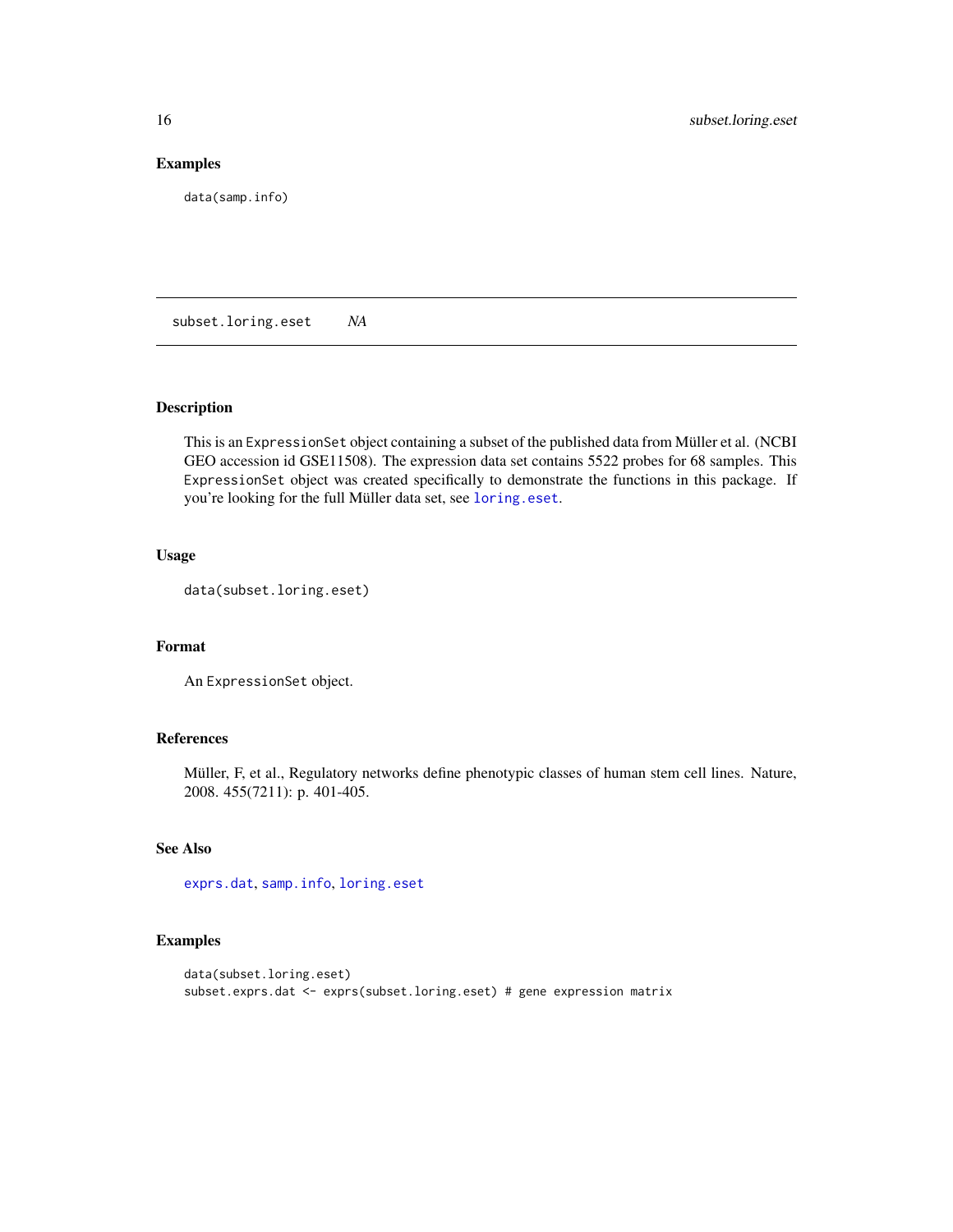# Examples

data(samp.info)

subset.loring.eset *NA*

# Description

This is an ExpressionSet object containing a subset of the published data from Müller et al. (NCBI GEO accession id GSE11508). The expression data set contains 5522 probes for 68 samples. This ExpressionSet object was created specifically to demonstrate the functions in this package. If you're looking for the full Müller data set, see [loring.eset](#page-11-1).

# Usage

data(subset.loring.eset)

# Format

An ExpressionSet object.

# References

Müller, F, et al., Regulatory networks define phenotypic classes of human stem cell lines. Nature, 2008. 455(7211): p. 401-405.

# See Also

[exprs.dat](#page-7-1), [samp.info](#page-14-1), [loring.eset](#page-11-1)

# Examples

```
data(subset.loring.eset)
subset.exprs.dat <- exprs(subset.loring.eset) # gene expression matrix
```
<span id="page-15-0"></span>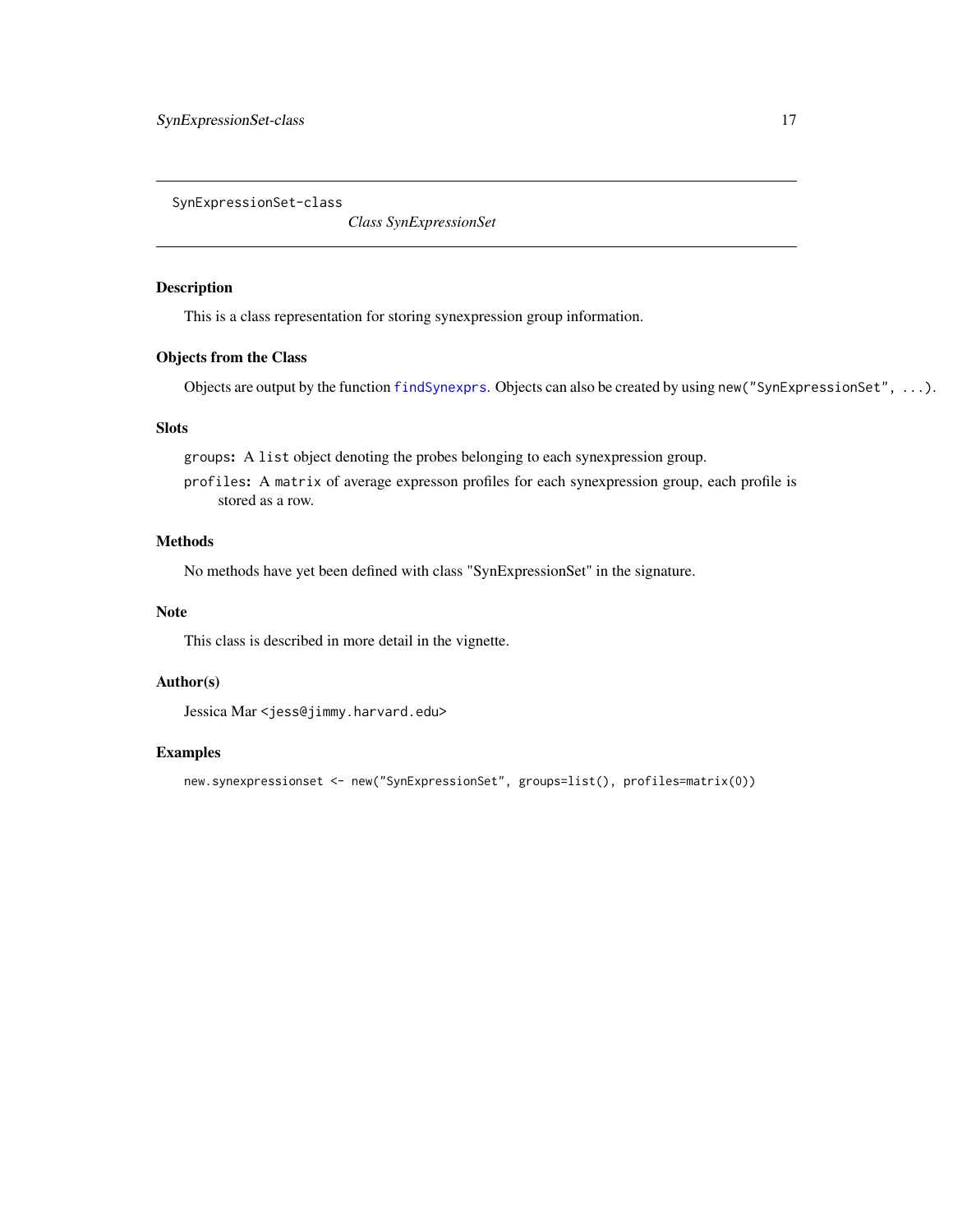<span id="page-16-0"></span>SynExpressionSet-class

*Class SynExpressionSet*

# <span id="page-16-1"></span>Description

This is a class representation for storing synexpression group information.

# Objects from the Class

Objects are output by the function [findSynexprs](#page-10-1). Objects can also be created by using new("SynExpressionSet", ...).

# Slots

groups: A list object denoting the probes belonging to each synexpression group.

profiles: A matrix of average expresson profiles for each synexpression group, each profile is stored as a row.

# Methods

No methods have yet been defined with class "SynExpressionSet" in the signature.

#### Note

This class is described in more detail in the vignette.

# Author(s)

Jessica Mar <jess@jimmy.harvard.edu>

# Examples

```
new.synexpressionset <- new("SynExpressionSet", groups=list(), profiles=matrix(0))
```